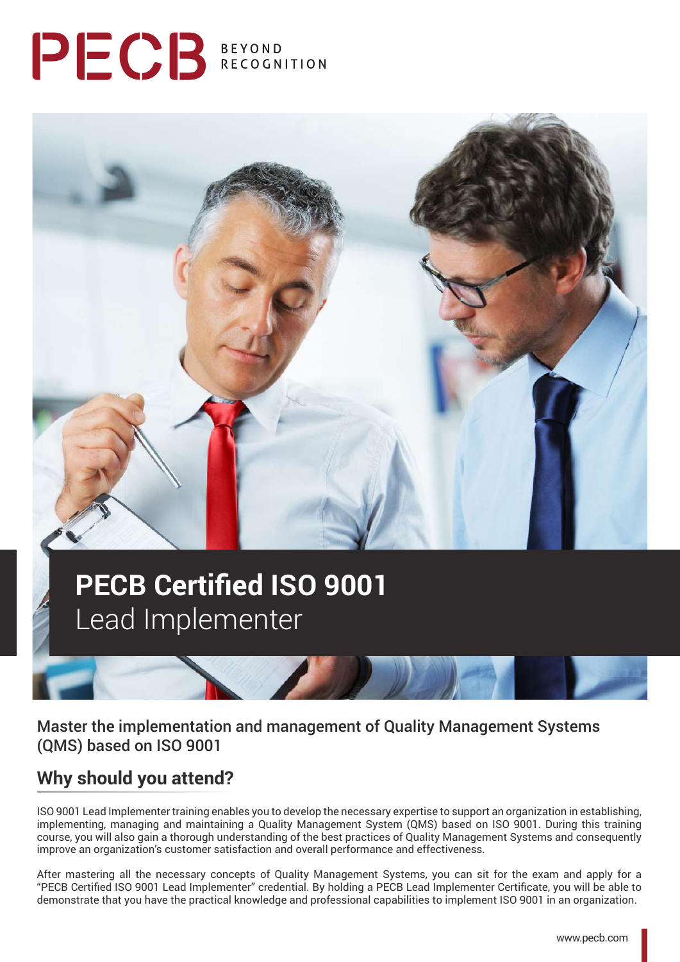# PECB BEYOND



## **PECB Certified ISO 9001**  Lead Implementer

Master the implementation and management of Quality Management Systems (QMS) based on ISO 9001

## **Why should you attend?**

ISO 9001 Lead Implementer training enables you to develop the necessary expertise to support an organization in establishing, implementing, managing and maintaining a Quality Management System (QMS) based on ISO 9001. During this training course, you will also gain a thorough understanding of the best practices of Quality Management Systems and consequently improve an organization's customer satisfaction and overall performance and effectiveness.

After mastering all the necessary concepts of Quality Management Systems, you can sit for the exam and apply for a "PECB Certified ISO 9001 Lead Implementer" credential. By holding a PECB Lead Implementer Certificate, you will be able to demonstrate that you have the practical knowledge and professional capabilities to implement ISO 9001 in an organization.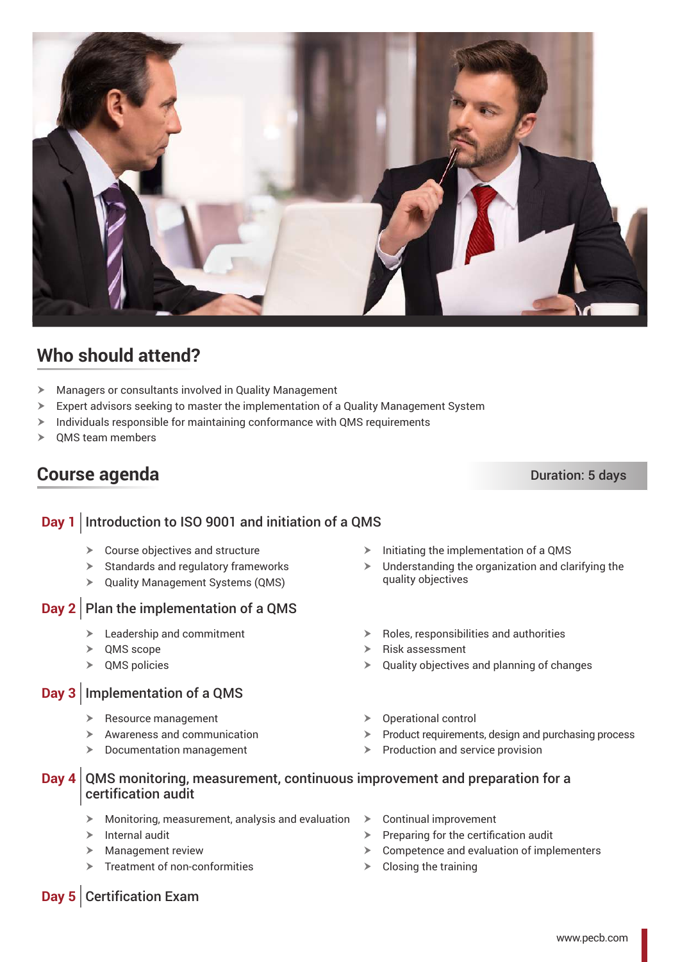

## **Who should attend?**

- $\blacktriangleright$  Managers or consultants involved in Quality Management
- $\triangleright$  Expert advisors seeking to master the implementation of a Quality Management System
- $\geq$  Individuals responsible for maintaining conformance with QMS requirements
- $\geq$  OMS team members

## **Course agenda** Duration: 5 days

## **Day 1** Introduction to ISO 9001 and initiation of a QMS

- $\triangleright$  Course objectives and structure
- $\blacktriangleright$  Standards and regulatory frameworks
- $\triangleright$  Quality Management Systems (QMS)

### **Day 2** Plan the implementation of a QMS

- $\blacktriangleright$  Leadership and commitment
- $\triangleright$  QMS scope
- $\triangleright$  QMS policies

#### **Day 3** Implementation of a QMS

- $\triangleright$  Resource management
- $\blacktriangleright$  Awareness and communication
- $\blacktriangleright$  Documentation management
- $\triangleright$  Initiating the implementation of a QMS
- $\blacktriangleright$  Understanding the organization and clarifying the quality objectives
- $\triangleright$  Roles, responsibilities and authorities
- $\triangleright$  Risk assessment
- $\triangleright$  Quality objectives and planning of changes
- $\triangleright$  Operational control
- $\triangleright$  Product requirements, design and purchasing process
- $\triangleright$  Production and service provision

#### **Day 4** QMS monitoring, measurement, continuous improvement and preparation for a certification audit

- $\triangleright$  Monitoring, measurement, analysis and evaluation  $\triangleright$
- $\triangleright$  Internal audit
- $\blacktriangleright$  Management review
- $\triangleright$  Treatment of non-conformities
- Continual improvement
- $\triangleright$  Preparing for the certification audit
- $\triangleright$  Competence and evaluation of implementers
- $\triangleright$  Closing the training

#### **Day 5** Certification Exam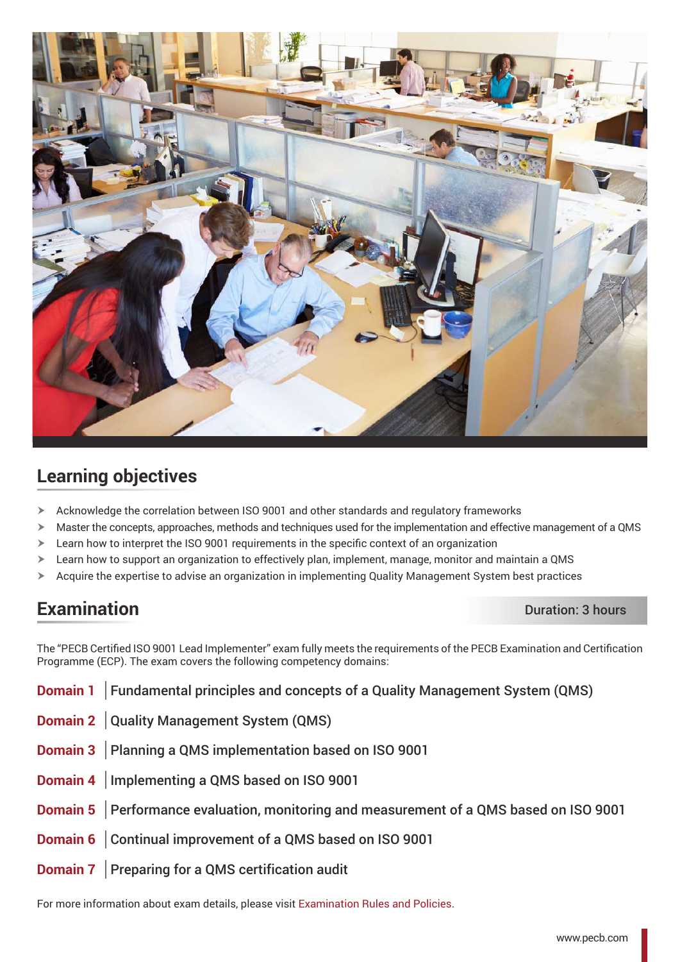

## **Learning objectives**

- $\triangleright$  Acknowledge the correlation between ISO 9001 and other standards and regulatory frameworks
- $\triangleright$  Master the concepts, approaches, methods and techniques used for the implementation and effective management of a QMS
- $\geq$  Learn how to interpret the ISO 9001 requirements in the specific context of an organization
- $\triangleright$  Learn how to support an organization to effectively plan, implement, manage, monitor and maintain a QMS
- $\triangleright$  Acquire the expertise to advise an organization in implementing Quality Management System best practices

## **Examination** Duration: 3 hours

The "PECB Certified ISO 9001 Lead Implementer" exam fully meets the requirements of the PECB Examination and Certification Programme (ECP). The exam covers the following competency domains:

| <b>Domain 1</b> Fundamental principles and concepts of a Quality Management System (QMS) |
|------------------------------------------------------------------------------------------|
| Domain 2 Quality Management System (QMS)                                                 |
| <b>Domain 3</b> Planning a QMS implementation based on ISO 9001                          |
| Domain 4   Implementing a QMS based on ISO 9001                                          |
| Domain 5   Performance evaluation, monitoring and measurement of a QMS based on ISO 9001 |
| Domain 6   Continual improvement of a QMS based on ISO 9001                              |
| <b>Domain 7</b> Preparing for a QMS certification audit                                  |

For more information about exam details, please visit [Examination Rules and Policies.](https://pecb.com/en/examination-rules-and-policies)